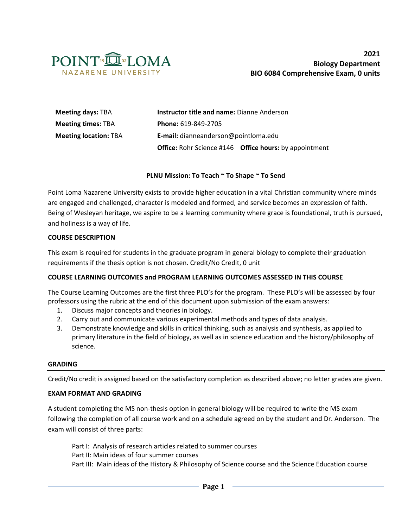

| <b>Meeting days: TBA</b>     | <b>Instructor title and name: Dianne Anderson</b>                    |  |  |  |
|------------------------------|----------------------------------------------------------------------|--|--|--|
| <b>Meeting times: TBA</b>    | Phone: 619-849-2705                                                  |  |  |  |
| <b>Meeting location: TBA</b> | E-mail: dianneanderson@pointloma.edu                                 |  |  |  |
|                              | <b>Office:</b> Rohr Science #146 <b>Office hours:</b> by appointment |  |  |  |

#### **PLNU Mission: To Teach ~ To Shape ~ To Send**

Point Loma Nazarene University exists to provide higher education in a vital Christian community where minds are engaged and challenged, character is modeled and formed, and service becomes an expression of faith. Being of Wesleyan heritage, we aspire to be a learning community where grace is foundational, truth is pursued, and holiness is a way of life.

#### **COURSE DESCRIPTION**

This exam is required for students in the graduate program in general biology to complete their graduation requirements if the thesis option is not chosen. Credit/No Credit, 0 unit

#### **COURSE LEARNING OUTCOMES and PROGRAM LEARNING OUTCOMES ASSESSED IN THIS COURSE**

The Course Learning Outcomes are the first three PLO's for the program. These PLO's will be assessed by four professors using the rubric at the end of this document upon submission of the exam answers:

- 1. Discuss major concepts and theories in biology.
- 2. Carry out and communicate various experimental methods and types of data analysis.
- 3. Demonstrate knowledge and skills in critical thinking, such as analysis and synthesis, as applied to primary literature in the field of biology, as well as in science education and the history/philosophy of science.

#### **GRADING**

Credit/No credit is assigned based on the satisfactory completion as described above; no letter grades are given.

#### **EXAM FORMAT AND GRADING**

A student completing the MS non-thesis option in general biology will be required to write the MS exam following the completion of all course work and on a schedule agreed on by the student and Dr. Anderson. The exam will consist of three parts:

Part I: Analysis of research articles related to summer courses Part II: Main ideas of four summer courses Part III: Main ideas of the History & Philosophy of Science course and the Science Education course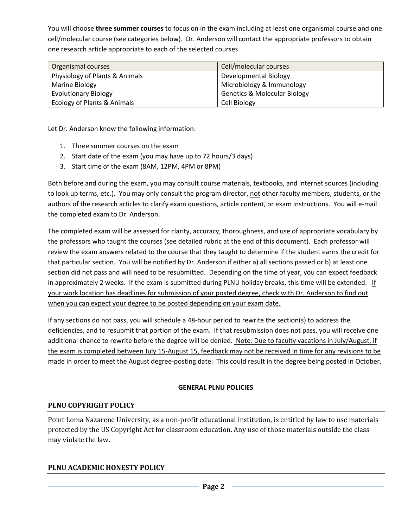You will choose **three summer courses** to focus on in the exam including at least one organismal course and one cell/molecular course (see categories below). Dr. Anderson will contact the appropriate professors to obtain one research article appropriate to each of the selected courses.

| Organismal courses             | Cell/molecular courses                  |
|--------------------------------|-----------------------------------------|
| Physiology of Plants & Animals | Developmental Biology                   |
| Marine Biology                 | Microbiology & Immunology               |
| <b>Evolutionary Biology</b>    | <b>Genetics &amp; Molecular Biology</b> |
| Ecology of Plants & Animals    | Cell Biology                            |

Let Dr. Anderson know the following information:

- 1. Three summer courses on the exam
- 2. Start date of the exam (you may have up to 72 hours/3 days)
- 3. Start time of the exam (8AM, 12PM, 4PM or 8PM)

Both before and during the exam, you may consult course materials, textbooks, and internet sources (including to look up terms, etc.). You may only consult the program director, not other faculty members, students, or the authors of the research articles to clarify exam questions, article content, or exam instructions. You will e-mail the completed exam to Dr. Anderson.

The completed exam will be assessed for clarity, accuracy, thoroughness, and use of appropriate vocabulary by the professors who taught the courses (see detailed rubric at the end of this document). Each professor will review the exam answers related to the course that they taught to determine if the student earns the credit for that particular section. You will be notified by Dr. Anderson if either a) all sections passed or b) at least one section did not pass and will need to be resubmitted. Depending on the time of year, you can expect feedback in approximately 2 weeks. If the exam is submitted during PLNU holiday breaks, this time will be extended. If your work location has deadlines for submission of your posted degree, check with Dr. Anderson to find out when you can expect your degree to be posted depending on your exam date.

If any sections do not pass, you will schedule a 48-hour period to rewrite the section(s) to address the deficiencies, and to resubmit that portion of the exam. If that resubmission does not pass, you will receive one additional chance to rewrite before the degree will be denied. Note: Due to faculty vacations in July/August, if the exam is completed between July 15-August 15, feedback may not be received in time for any revisions to be made in order to meet the August degree-posting date. This could result in the degree being posted in October.

### **GENERAL PLNU POLICIES**

### **PLNU COPYRIGHT POLICY**

Point Loma Nazarene University, as a non-profit educational institution, is entitled by law to use materials protected by the US Copyright Act for classroom education. Any use of those materials outside the class may violate the law.

### **PLNU ACADEMIC HONESTY POLICY**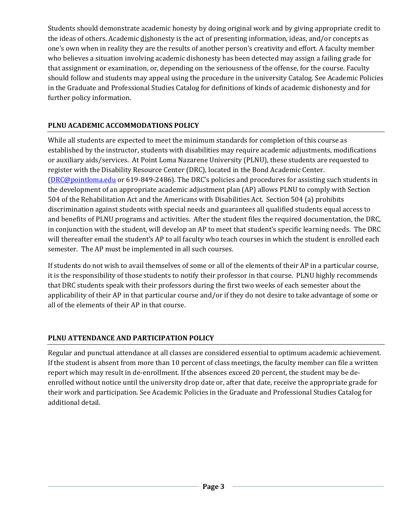Students should demonstrate academic honesty by doing original work and by giving appropriate credit to the ideas of others. Academic dishonesty is the act of presenting information, ideas, and/or concepts as one's own when in reality they are the results of another person's creativity and effort. A faculty member who believes a situation involving academic dishonesty has been detected may assign a failing grade for that assignment or examination, or, depending on the seriousness of the offense, for the course. Faculty should follow and students may appeal using the procedure in the university Catalog. See Academic Policies in the Graduate and Professional Studies Catalog for definitions of kinds of academic dishonesty and for further policy information.

# **PLNU ACADEMIC ACCOMMODATIONS POLICY**

While all students are expected to meet the minimum standards for completion of this course as established by the instructor, students with disabilities may require academic adjustments, modifications or auxiliary aids/services. At Point Loma Nazarene University (PLNU), these students are requested to register with the Disability Resource Center (DRC), located in the Bond Academic Center. [\(DRC@pointloma.edu](mailto:DRC@pointloma.edu) or 619-849-2486). The DRC's policies and procedures for assisting such students in the development of an appropriate academic adjustment plan (AP) allows PLNU to comply with Section 504 of the Rehabilitation Act and the Americans with Disabilities Act. Section 504 (a) prohibits discrimination against students with special needs and guarantees all qualified students equal access to and benefits of PLNU programs and activities. After the student files the required documentation, the DRC, in conjunction with the student, will develop an AP to meet that student's specific learning needs. The DRC will thereafter email the student's AP to all faculty who teach courses in which the student is enrolled each semester. The AP must be implemented in all such courses.

If students do not wish to avail themselves of some or all of the elements of their AP in a particular course, it is the responsibility of those students to notify their professor in that course. PLNU highly recommends that DRC students speak with their professors during the first two weeks of each semester about the applicability of their AP in that particular course and/or if they do not desire to take advantage of some or all of the elements of their AP in that course.

## **PLNU ATTENDANCE AND PARTICIPATION POLICY**

Regular and punctual attendance at all classes are considered essential to optimum academic achievement. If the student is absent from more than 10 percent of class meetings, the faculty member can file a written report which may result in de-enrollment. If the absences exceed 20 percent, the student may be deenrolled without notice until the university drop date or, after that date, receive the appropriate grade for their work and participation. See Academic Policies in the Graduate and Professional Studies Catalog for additional detail.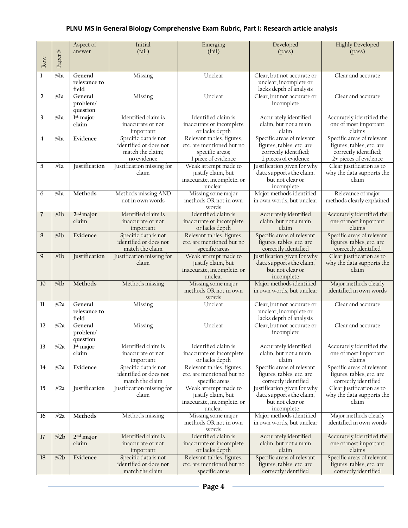# **PLNU MS in General Biology Comprehensive Exam Rubric, Part I: Research article analysis**

|                |            | Aspect of             | Initial                            | Emerging                                    | Developed                                               | <b>Highly Developed</b>                           |
|----------------|------------|-----------------------|------------------------------------|---------------------------------------------|---------------------------------------------------------|---------------------------------------------------|
|                |            | answer                | (fail)                             | (fail)                                      | (pass)                                                  | (pass)                                            |
| Row            | Paper $\#$ |                       |                                    |                                             |                                                         |                                                   |
|                |            |                       |                                    |                                             |                                                         |                                                   |
| 1              | $#$ la     | General               | Missing                            | Unclear                                     | Clear, but not accurate or                              | Clear and accurate                                |
|                |            | relevance to          |                                    |                                             | unclear, incomplete or                                  |                                                   |
|                |            | field                 |                                    |                                             | lacks depth of analysis                                 |                                                   |
| 2              | $#$ la     | General               | Missing                            | Unclear                                     | Clear, but not accurate or                              | Clear and accurate                                |
|                |            | problem/              |                                    |                                             | incomplete                                              |                                                   |
|                |            | question              |                                    |                                             |                                                         |                                                   |
| 3              | #la        | 1st major             | Identified claim is                | Identified claim is                         | Accurately identified                                   | Accurately identified the                         |
|                |            | claim                 | inaccurate or not                  | inaccurate or incomplete                    | claim, but not a main                                   | one of most important                             |
|                |            |                       | important                          | or lacks depth                              | claim                                                   | claims                                            |
| $\overline{4}$ | $#$ la     | Evidence              | Specific data is not               | Relevant tables, figures,                   | Specific areas of relevant                              | Specific areas of relevant                        |
|                |            |                       | identified or does not             | etc. are mentioned but no                   | figures, tables, etc. are                               | figures, tables, etc. are                         |
|                |            |                       | match the claim;<br>no evidence    | specific areas;<br>1 piece of evidence      | correctly identified;<br>2 pieces of evidence           | correctly identified;<br>2+ pieces of evidence    |
| 5              | #la        | Justification         | Justification missing for          | Weak attempt made to                        | Justification given for why                             | Clear justification as to                         |
|                |            |                       | claim                              | justify claim, but                          | data supports the claim,                                | why the data supports the                         |
|                |            |                       |                                    | inaccurate, incomplete, or                  | but not clear or                                        | claim                                             |
|                |            |                       |                                    | unclear                                     | incomplete                                              |                                                   |
| 6              | #la        | Methods               | Methods missing AND                | Missing some major                          | Major methods identified                                | Relevance of major                                |
|                |            |                       | not in own words                   | methods OR not in own                       | in own words, but unclear                               | methods clearly explained                         |
|                |            |                       |                                    | words                                       |                                                         |                                                   |
| $\overline{7}$ | #lb        | $2nd$ major           | Identified claim is                | Identified claim is                         | Accurately identified                                   | Accurately identified the                         |
|                |            | claim                 | inaccurate or not                  | inaccurate or incomplete                    | claim, but not a main                                   | one of most important                             |
|                |            |                       | important                          | or lacks depth                              | claim                                                   | claims                                            |
| 8              | #1b        | Evidence              | Specific data is not               | Relevant tables, figures,                   | Specific areas of relevant                              | Specific areas of relevant                        |
|                |            |                       | identified or does not             | etc. are mentioned but no                   | figures, tables, etc. are                               | figures, tables, etc. are                         |
|                |            |                       | match the claim                    | specific areas<br>Weak attempt made to      | correctly identified                                    | correctly identified<br>Clear justification as to |
| 9              | #1b        | Justification         | Justification missing for<br>claim | justify claim, but                          | Justification given for why<br>data supports the claim, | why the data supports the                         |
|                |            |                       |                                    | inaccurate, incomplete, or                  | but not clear or                                        | claim                                             |
|                |            |                       |                                    | unclear                                     | incomplete                                              |                                                   |
| 10             | #1b        | Methods               | Methods missing                    | Missing some major                          | Major methods identified                                | Major methods clearly                             |
|                |            |                       |                                    | methods OR not in own                       | in own words, but unclear                               | identified in own words                           |
|                |            |                       |                                    | words                                       |                                                         |                                                   |
| 11             | #2a        | General               | Missing                            | Unclear                                     | Clear, but not accurate or                              | Clear and accurate                                |
|                |            | relevance to          |                                    |                                             | unclear, incomplete or                                  |                                                   |
|                |            | field                 |                                    |                                             | lacks depth of analysis                                 |                                                   |
| 12             | #2a        | General               | Missing                            | Unclear                                     | Clear, but not accurate or                              | Clear and accurate                                |
|                |            | problem/              |                                    |                                             | incomplete                                              |                                                   |
| 13             | #2a        | question<br>1st major | Identified claim is                | Identified claim is                         | Accurately identified                                   | Accurately identified the                         |
|                |            | claim                 | inaccurate or not                  | inaccurate or incomplete                    | claim, but not a main                                   | one of most important                             |
|                |            |                       | important                          | or lacks depth                              | claim                                                   | claims                                            |
| 14             | #2a        | Evidence              | Specific data is not               | Relevant tables, figures,                   | Specific areas of relevant                              | Specific areas of relevant                        |
|                |            |                       | identified or does not             | etc. are mentioned but no                   | figures, tables, etc. are                               | figures, tables, etc. are                         |
|                |            |                       | match the claim                    | specific areas                              | correctly identified                                    | correctly identified                              |
| 15             | #2a        | Justification         | Justification missing for          | Weak attempt made to                        | Justification given for why                             | Clear justification as to                         |
|                |            |                       | claim                              | justify claim, but                          | data supports the claim,                                | why the data supports the                         |
|                |            |                       |                                    | inaccurate, incomplete, or                  | but not clear or                                        | claim                                             |
|                |            |                       |                                    | unclear                                     | incomplete                                              |                                                   |
| 16             | #2a        | Methods               | Methods missing                    | Missing some major<br>methods OR not in own | Major methods identified                                | Major methods clearly<br>identified in own words  |
|                |            |                       |                                    | words                                       | in own words, but unclear                               |                                                   |
| 17             | #2b        | $2nd$ major           | Identified claim is                | Identified claim is                         | Accurately identified                                   | Accurately identified the                         |
|                |            | claim                 | inaccurate or not                  | inaccurate or incomplete                    | claim, but not a main                                   | one of most important                             |
|                |            |                       | important                          | or lacks depth                              | claim                                                   | claims                                            |
| 18             | #2b        | Evidence              | Specific data is not               | Relevant tables, figures,                   | Specific areas of relevant                              | Specific areas of relevant                        |
|                |            |                       | identified or does not             | etc. are mentioned but no                   | figures, tables, etc. are                               | figures, tables, etc. are                         |
|                |            |                       | match the claim                    | specific areas                              | correctly identified                                    | correctly identified                              |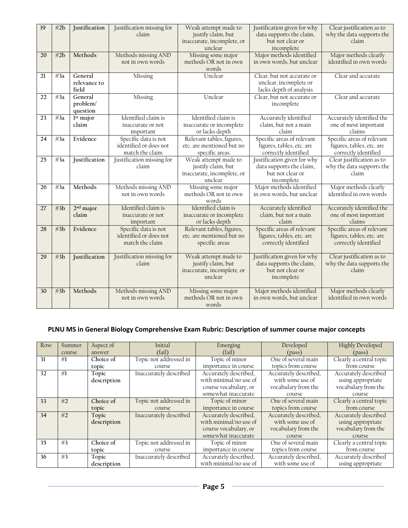| 19 | #2b | Justification         | Justification missing for          | Weak attempt made to                             | Justification given for why                             | Clear justification as to                              |
|----|-----|-----------------------|------------------------------------|--------------------------------------------------|---------------------------------------------------------|--------------------------------------------------------|
|    |     |                       | claim                              | justify claim, but<br>inaccurate, incomplete, or | data supports the claim,<br>but not clear or            | why the data supports the<br>claim                     |
|    |     |                       |                                    | unclear                                          | incomplete                                              |                                                        |
| 20 | #2b | Methods               | Methods missing AND                | Missing some major                               | Major methods identified                                | Major methods clearly                                  |
|    |     |                       | not in own words                   | methods OR not in own                            | in own words, but unclear                               | identified in own words                                |
|    |     |                       |                                    | words                                            |                                                         |                                                        |
| 21 | #3a | General               | Missing                            | Unclear                                          | Clear, but not accurate or                              | Clear and accurate                                     |
|    |     | relevance to<br>field |                                    |                                                  | unclear, incomplete or<br>lacks depth of analysis       |                                                        |
| 22 | #3a | General               | Missing                            | Unclear                                          | Clear, but not accurate or                              | Clear and accurate                                     |
|    |     | problem/              |                                    |                                                  | incomplete                                              |                                                        |
|    |     | question              |                                    |                                                  |                                                         |                                                        |
| 23 | #3a | 1st major             | Identified claim is                | Identified claim is                              | Accurately identified                                   | Accurately identified the                              |
|    |     | claim                 | inaccurate or not                  | inaccurate or incomplete                         | claim, but not a main                                   | one of most important                                  |
|    |     |                       | important                          | or lacks depth                                   | claim                                                   | claims                                                 |
| 24 | #3a | Evidence              | Specific data is not               | Relevant tables, figures,                        | Specific areas of relevant                              | Specific areas of relevant                             |
|    |     |                       | identified or does not             | etc. are mentioned but no                        | figures, tables, etc. are                               | figures, tables, etc. are                              |
| 25 | #3a | <b>Justification</b>  | match the claim                    | specific areas                                   | correctly identified                                    | correctly identified                                   |
|    |     |                       | Justification missing for<br>claim | Weak attempt made to<br>justify claim, but       | Justification given for why<br>data supports the claim, | Clear justification as to<br>why the data supports the |
|    |     |                       |                                    | inaccurate, incomplete, or                       | but not clear or                                        | claim                                                  |
|    |     |                       |                                    | unclear                                          | incomplete                                              |                                                        |
| 26 | #3a | Methods               | Methods missing AND                | Missing some major                               | Major methods identified                                | Major methods clearly                                  |
|    |     |                       | not in own words                   | methods OR not in own                            | in own words, but unclear                               | identified in own words                                |
|    |     |                       |                                    | words                                            |                                                         |                                                        |
| 27 | #3b | $2nd$ major           | Identified claim is                | Identified claim is                              | Accurately identified                                   | Accurately identified the                              |
|    |     | claim                 | inaccurate or not                  | inaccurate or incomplete                         | claim, but not a main<br>claim                          | one of most important<br>claims                        |
| 28 | #3b | Evidence              | important<br>Specific data is not  | or lacks depth<br>Relevant tables, figures,      | Specific areas of relevant                              | Specific areas of relevant                             |
|    |     |                       | identified or does not             | etc. are mentioned but no                        | figures, tables, etc. are                               | figures, tables, etc. are                              |
|    |     |                       | match the claim                    | specific areas                                   | correctly identified                                    | correctly identified                                   |
|    |     |                       |                                    |                                                  |                                                         |                                                        |
| 29 | #3b | Justification         | Justification missing for          | Weak attempt made to                             | Justification given for why                             | Clear justification as to                              |
|    |     |                       | claim                              | justify claim, but                               | data supports the claim,                                | why the data supports the                              |
|    |     |                       |                                    | inaccurate, incomplete, or                       | but not clear or                                        | claim                                                  |
|    |     |                       |                                    | unclear                                          | incomplete                                              |                                                        |
| 30 | #3b | Methods               | Methods missing AND                | Missing some major                               | Major methods identified                                | Major methods clearly                                  |
|    |     |                       | not in own words                   | methods OR not in own                            | in own words, but unclear                               | identified in own words                                |
|    |     |                       |                                    | words                                            |                                                         |                                                        |

## **PLNU MS in General Biology Comprehensive Exam Rubric: Description of summer course major concepts**

| Row | Summer | Aspect of   | Initial                | Emerging               | Developed             | <b>Highly Developed</b> |
|-----|--------|-------------|------------------------|------------------------|-----------------------|-------------------------|
|     | course | answer      | (fail)                 | (fail)                 | (pass)                | (pass)                  |
| 31  | #1     | Choice of   | Topic not addressed in | Topic of minor         | One of several main   | Clearly a central topic |
|     |        | topic       | course                 | importance in course   | topics from course    | from course             |
| 32  | #1     | Topic       | Inaccurately described | Accurately described,  | Accurately described, | Accurately described    |
|     |        | description |                        | with minimal/no use of | with some use of      | using appropriate       |
|     |        |             |                        | course vocabulary, or  | vocabulary from the   | vocabulary from the     |
|     |        |             |                        | somewhat inaccurate    | course                | course                  |
| 33  | #2     | Choice of   | Topic not addressed in | Topic of minor         | One of several main   | Clearly a central topic |
|     |        | topic       | course                 | importance in course   | topics from course    | from course             |
| 34  | #2     | Topic       | Inaccurately described | Accurately described,  | Accurately described, | Accurately described    |
|     |        | description |                        | with minimal/no use of | with some use of      | using appropriate       |
|     |        |             |                        | course vocabulary, or  | vocabulary from the   | vocabulary from the     |
|     |        |             |                        | somewhat inaccurate    | course                | course                  |
| 35  | #3     | Choice of   | Topic not addressed in | Topic of minor         | One of several main   | Clearly a central topic |
|     |        | topic       | course                 | importance in course   | topics from course    | from course             |
| 36  | #3     | Topic       | Inaccurately described | Accurately described,  | Accurately described, | Accurately described    |
|     |        | description |                        | with minimal/no use of | with some use of      | using appropriate       |